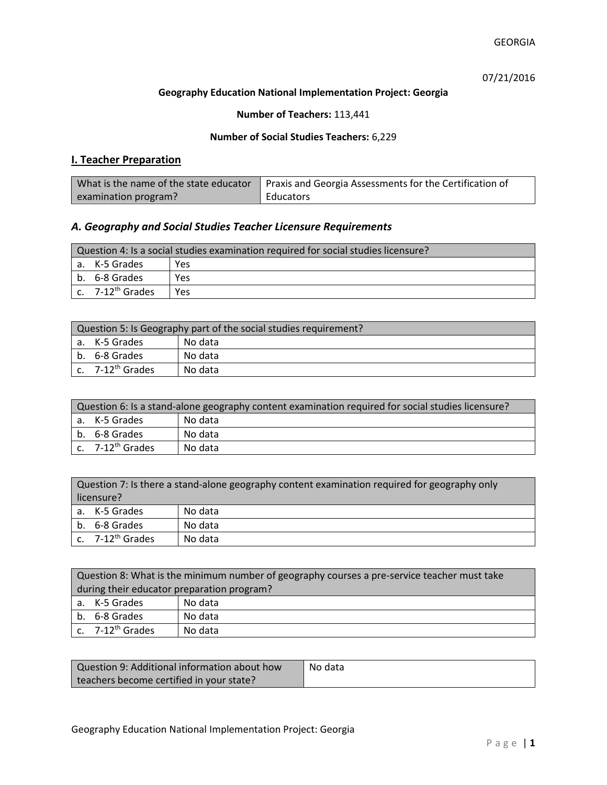07/21/2016

#### **Geography Education National Implementation Project: Georgia**

## **Number of Teachers:** 113,441

### **Number of Social Studies Teachers:** 6,229

# **I. Teacher Preparation**

| What is the name of the state educator | Praxis and Georgia Assessments for the Certification of |
|----------------------------------------|---------------------------------------------------------|
| examination program?                   | Educators                                               |

# *A. Geography and Social Studies Teacher Licensure Requirements*

| Question 4: Is a social studies examination required for social studies licensure? |                                         |     |
|------------------------------------------------------------------------------------|-----------------------------------------|-----|
|                                                                                    | a. K-5 Grades                           | Yes |
|                                                                                    | l b. 6-8 Grades                         | Yes |
|                                                                                    | $\mathsf{c.}$ 7-12 <sup>th</sup> Grades | Yes |

| Question 5: Is Geography part of the social studies requirement? |                                |         |
|------------------------------------------------------------------|--------------------------------|---------|
|                                                                  | a. K-5 Grades                  | No data |
|                                                                  | b. 6-8 Grades                  | No data |
|                                                                  | $c.$ 7-12 <sup>th</sup> Grades | No data |

| Question 6: Is a stand-alone geography content examination required for social studies licensure? |                       |         |  |
|---------------------------------------------------------------------------------------------------|-----------------------|---------|--|
|                                                                                                   | a. K-5 Grades         | No data |  |
|                                                                                                   | b. 6-8 Grades         | No data |  |
|                                                                                                   | c. $7-12^{th}$ Grades | No data |  |

|            | Question 7: Is there a stand-alone geography content examination required for geography only |         |  |
|------------|----------------------------------------------------------------------------------------------|---------|--|
| licensure? |                                                                                              |         |  |
|            | a. K-5 Grades                                                                                | No data |  |
|            | b. 6-8 Grades                                                                                | No data |  |
|            | c. 7-12 <sup>th</sup> Grades                                                                 | No data |  |

|                                            | Question 8: What is the minimum number of geography courses a pre-service teacher must take |         |  |
|--------------------------------------------|---------------------------------------------------------------------------------------------|---------|--|
| during their educator preparation program? |                                                                                             |         |  |
|                                            | a. K-5 Grades                                                                               | No data |  |
|                                            | b. 6-8 Grades                                                                               | No data |  |
|                                            | c. $7-12^{th}$ Grades                                                                       | No data |  |

| Question 9: Additional information about how | No data |
|----------------------------------------------|---------|
| teachers become certified in your state?     |         |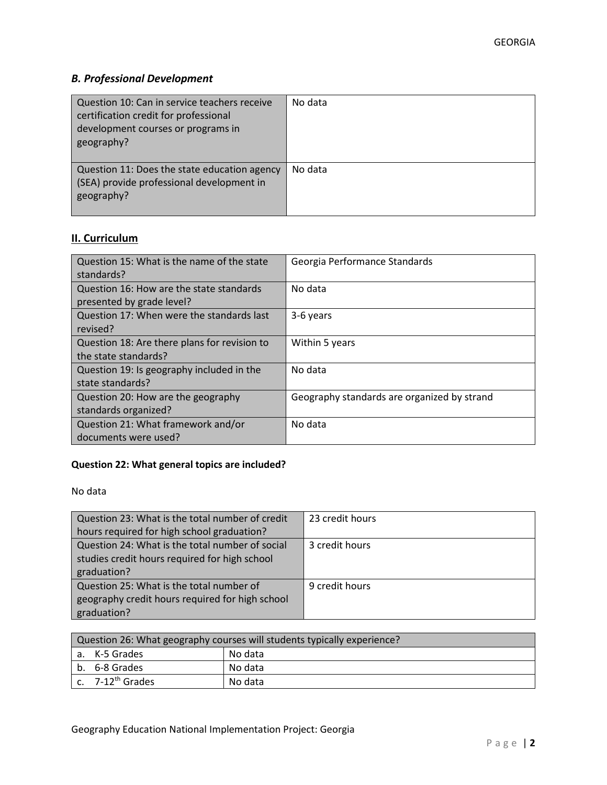# *B. Professional Development*

| Question 10: Can in service teachers receive<br>certification credit for professional<br>development courses or programs in<br>geography? | No data |
|-------------------------------------------------------------------------------------------------------------------------------------------|---------|
| Question 11: Does the state education agency<br>(SEA) provide professional development in<br>geography?                                   | No data |

# **II. Curriculum**

| Question 15: What is the name of the state<br>standards?              | Georgia Performance Standards               |
|-----------------------------------------------------------------------|---------------------------------------------|
| Question 16: How are the state standards<br>presented by grade level? | No data                                     |
| Question 17: When were the standards last<br>revised?                 | 3-6 years                                   |
| Question 18: Are there plans for revision to<br>the state standards?  | Within 5 years                              |
| Question 19: Is geography included in the<br>state standards?         | No data                                     |
| Question 20: How are the geography<br>standards organized?            | Geography standards are organized by strand |
| Question 21: What framework and/or<br>documents were used?            | No data                                     |

# **Question 22: What general topics are included?**

No data

| Question 23: What is the total number of credit | 23 credit hours |
|-------------------------------------------------|-----------------|
| hours required for high school graduation?      |                 |
| Question 24: What is the total number of social | 3 credit hours  |
| studies credit hours required for high school   |                 |
| graduation?                                     |                 |
| Question 25: What is the total number of        | 9 credit hours  |
| geography credit hours required for high school |                 |
| graduation?                                     |                 |

| Question 26: What geography courses will students typically experience? |                              |         |
|-------------------------------------------------------------------------|------------------------------|---------|
|                                                                         | a. K-5 Grades                | No data |
|                                                                         | b. 6-8 Grades                | No data |
|                                                                         | c. 7-12 <sup>th</sup> Grades | No data |